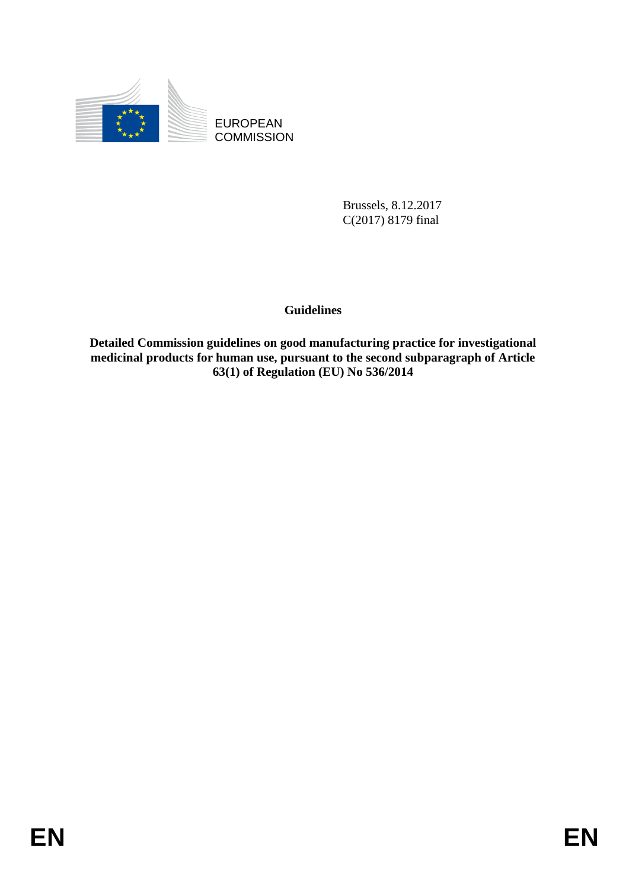

**COMMISSION** 

Brussels, 8.12.2017 C(2017) 8179 final

## **Guidelines**

EUROPEAN<br>
EUROPEAN<br>
COMMISSION<br>
Brussels. 8.12.2017<br>
C(2017) 8179 final<br>
Contains on good manufacturing practice for investigational<br>
medicinal products for burnan use, pursuant to the second subparagraph of Article<br>
(621) **Detailed Commission guidelines on good manufacturing practice for investigational medicinal products for human use, pursuant to the second subparagraph of Article 63(1) of Regulation (EU) No 536/2014**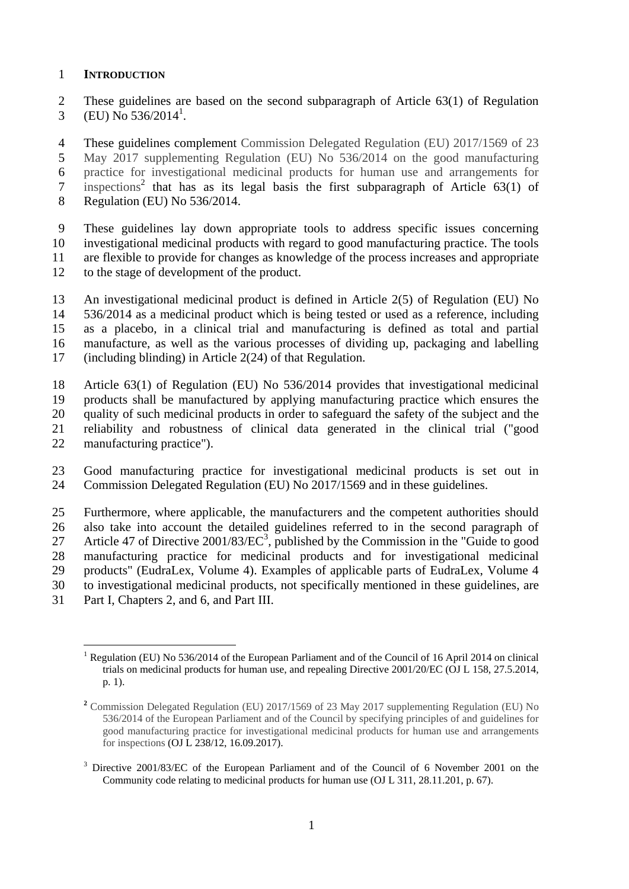#### **INTRODUCTION**

 These guidelines are based on the second subparagraph of Article 63(1) of Regulation 3 (EU) No  $536/2014^1$ .

 These guidelines complement Commission Delegated Regulation (EU) 2017/1569 of 23 May 2017 supplementing Regulation (EU) No 536/2014 on the good manufacturing practice for investigational medicinal products for human use and arrangements for  $\frac{1}{2}$  inspections<sup>2</sup> that has as its legal basis the first subparagraph of Article 63(1) of Regulation (EU) No 536/2014.

 These guidelines lay down appropriate tools to address specific issues concerning investigational medicinal products with regard to good manufacturing practice. The tools are flexible to provide for changes as knowledge of the process increases and appropriate to the stage of development of the product.

 An investigational medicinal product is defined in Article 2(5) of Regulation (EU) No 536/2014 as a medicinal product which is being tested or used as a reference, including as a placebo, in a clinical trial and manufacturing is defined as total and partial manufacture, as well as the various processes of dividing up, packaging and labelling (including blinding) in Article 2(24) of that Regulation.

 Article 63(1) of Regulation (EU) No 536/2014 provides that investigational medicinal products shall be manufactured by applying manufacturing practice which ensures the quality of such medicinal products in order to safeguard the safety of the subject and the reliability and robustness of clinical data generated in the clinical trial ("good manufacturing practice").

 Good manufacturing practice for investigational medicinal products is set out in Commission Delegated Regulation (EU) No 2017/1569 and in these guidelines.

 Furthermore, where applicable, the manufacturers and the competent authorities should also take into account the detailed guidelines referred to in the second paragraph of 27 Article 47 of Directive  $2001/83/EC^3$ , published by the Commission in the "Guide to good manufacturing practice for medicinal products and for investigational medicinal products" (EudraLex, Volume 4). Examples of applicable parts of EudraLex, Volume 4 to investigational medicinal products, not specifically mentioned in these guidelines, are

Part I, Chapters 2, and 6, and Part III.

 $\overline{a}$ <sup>1</sup> Regulation (EU) No 536/2014 of the European Parliament and of the Council of 16 April 2014 on clinical trials on medicinal products for human use, and repealing Directive 2001/20/EC (OJ L 158, 27.5.2014, p. 1).

 Commission Delegated Regulation (EU) 2017/1569 of 23 May 2017 supplementing Regulation (EU) No 536/2014 of the European Parliament and of the Council by specifying principles of and guidelines for good manufacturing practice for investigational medicinal products for human use and arrangements for inspections (OJ L 238/12, 16.09.2017).

 Directive 2001/83/EC of the European Parliament and of the Council of 6 November 2001 on the Community code relating to medicinal products for human use (OJ L 311, 28.11.201, p. 67).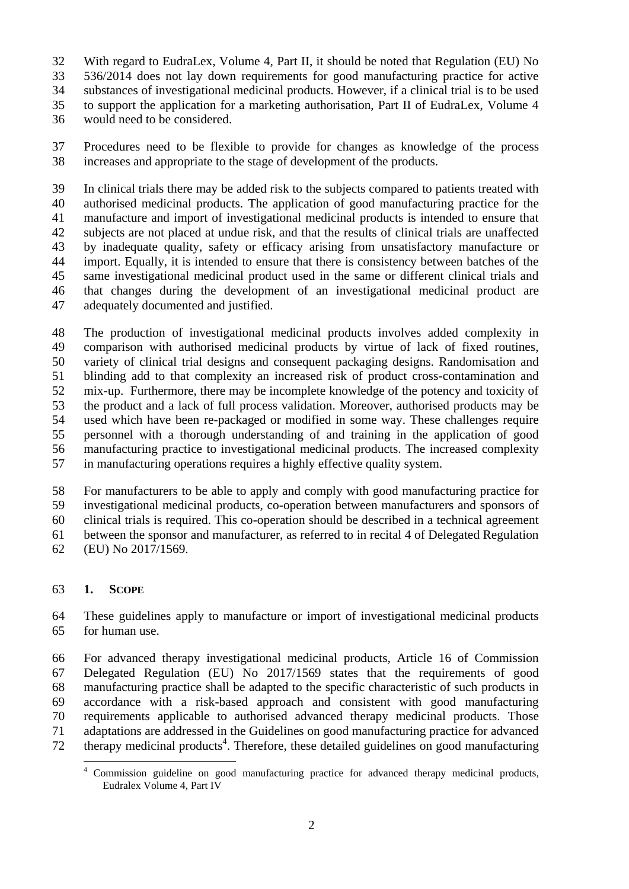With regard to EudraLex, Volume 4, Part II, it should be noted that Regulation (EU) No

536/2014 does not lay down requirements for good manufacturing practice for active

substances of investigational medicinal products. However, if a clinical trial is to be used

to support the application for a marketing authorisation, Part II of EudraLex, Volume 4

would need to be considered.

 Procedures need to be flexible to provide for changes as knowledge of the process increases and appropriate to the stage of development of the products.

 In clinical trials there may be added risk to the subjects compared to patients treated with authorised medicinal products. The application of good manufacturing practice for the manufacture and import of investigational medicinal products is intended to ensure that subjects are not placed at undue risk, and that the results of clinical trials are unaffected by inadequate quality, safety or efficacy arising from unsatisfactory manufacture or import. Equally, it is intended to ensure that there is consistency between batches of the same investigational medicinal product used in the same or different clinical trials and that changes during the development of an investigational medicinal product are adequately documented and justified.

 The production of investigational medicinal products involves added complexity in comparison with authorised medicinal products by virtue of lack of fixed routines, variety of clinical trial designs and consequent packaging designs. Randomisation and blinding add to that complexity an increased risk of product cross-contamination and mix-up. Furthermore, there may be incomplete knowledge of the potency and toxicity of the product and a lack of full process validation. Moreover, authorised products may be used which have been re-packaged or modified in some way. These challenges require personnel with a thorough understanding of and training in the application of good manufacturing practice to investigational medicinal products. The increased complexity in manufacturing operations requires a highly effective quality system.

 For manufacturers to be able to apply and comply with good manufacturing practice for investigational medicinal products, co-operation between manufacturers and sponsors of clinical trials is required. This co-operation should be described in a technical agreement between the sponsor and manufacturer, as referred to in recital 4 of Delegated Regulation (EU) No 2017/1569.

## **1. SCOPE**

 These guidelines apply to manufacture or import of investigational medicinal products for human use.

 For advanced therapy investigational medicinal products, Article 16 of Commission Delegated Regulation (EU) No 2017/1569 states that the requirements of good manufacturing practice shall be adapted to the specific characteristic of such products in accordance with a risk-based approach and consistent with good manufacturing requirements applicable to authorised advanced therapy medicinal products. Those adaptations are addressed in the Guidelines on good manufacturing practice for advanced 72 therapy medicinal products<sup>4</sup>. Therefore, these detailed guidelines on good manufacturing

 $\overline{a}$ <sup>4</sup> Commission guideline on good manufacturing practice for advanced therapy medicinal products, Eudralex Volume 4, Part IV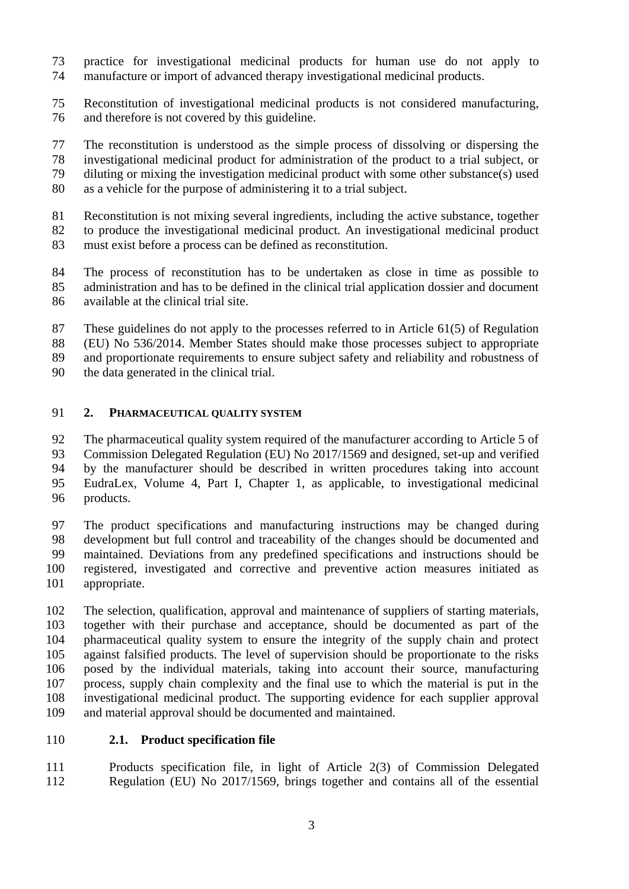- practice for investigational medicinal products for human use do not apply to manufacture or import of advanced therapy investigational medicinal products.
- Reconstitution of investigational medicinal products is not considered manufacturing, and therefore is not covered by this guideline.

 The reconstitution is understood as the simple process of dissolving or dispersing the investigational medicinal product for administration of the product to a trial subject, or diluting or mixing the investigation medicinal product with some other substance(s) used as a vehicle for the purpose of administering it to a trial subject.

 Reconstitution is not mixing several ingredients, including the active substance, together to produce the investigational medicinal product. An investigational medicinal product must exist before a process can be defined as reconstitution.

 The process of reconstitution has to be undertaken as close in time as possible to administration and has to be defined in the clinical trial application dossier and document available at the clinical trial site.

 These guidelines do not apply to the processes referred to in Article 61(5) of Regulation (EU) No 536/2014. Member States should make those processes subject to appropriate and proportionate requirements to ensure subject safety and reliability and robustness of the data generated in the clinical trial.

#### **2. PHARMACEUTICAL QUALITY SYSTEM**

 The pharmaceutical quality system required of the manufacturer according to Article 5 of Commission Delegated Regulation (EU) No 2017/1569 and designed, set-up and verified by the manufacturer should be described in written procedures taking into account EudraLex, Volume 4, Part I, Chapter 1, as applicable, to investigational medicinal products.

 The product specifications and manufacturing instructions may be changed during development but full control and traceability of the changes should be documented and maintained. Deviations from any predefined specifications and instructions should be registered, investigated and corrective and preventive action measures initiated as appropriate.

 The selection, qualification, approval and maintenance of suppliers of starting materials, together with their purchase and acceptance, should be documented as part of the pharmaceutical quality system to ensure the integrity of the supply chain and protect against falsified products. The level of supervision should be proportionate to the risks posed by the individual materials, taking into account their source, manufacturing process, supply chain complexity and the final use to which the material is put in the investigational medicinal product. The supporting evidence for each supplier approval and material approval should be documented and maintained.

### **2.1. Product specification file**

 Products specification file, in light of Article 2(3) of Commission Delegated Regulation (EU) No 2017/1569, brings together and contains all of the essential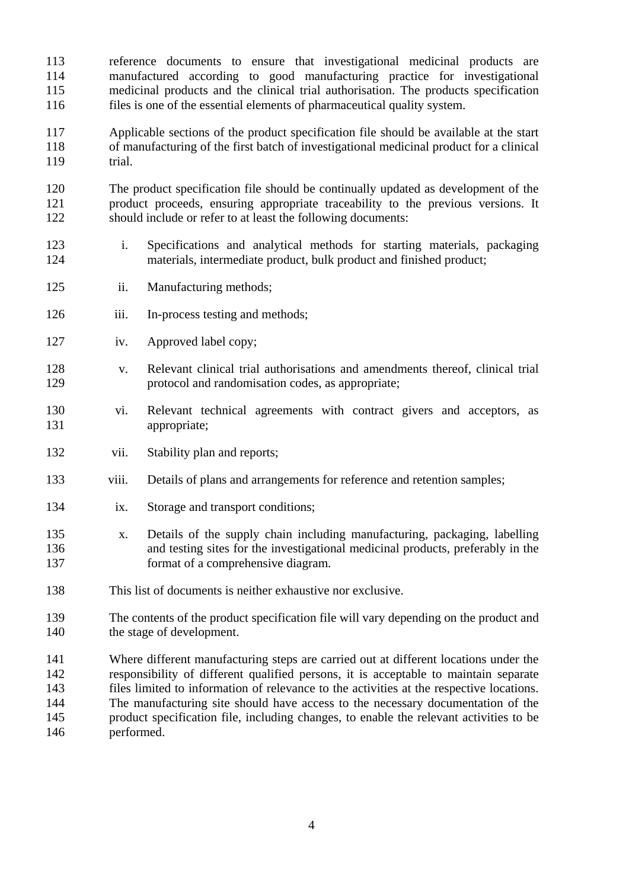reference documents to ensure that investigational medicinal products are manufactured according to good manufacturing practice for investigational medicinal products and the clinical trial authorisation. The products specification files is one of the essential elements of pharmaceutical quality system.

 Applicable sections of the product specification file should be available at the start of manufacturing of the first batch of investigational medicinal product for a clinical trial.

 The product specification file should be continually updated as development of the product proceeds, ensuring appropriate traceability to the previous versions. It should include or refer to at least the following documents:

- i. Specifications and analytical methods for starting materials, packaging 124 materials, intermediate product, bulk product and finished product;
- ii. Manufacturing methods;
- 126 iii. In-process testing and methods;
- iv. Approved label copy;
- v. Relevant clinical trial authorisations and amendments thereof, clinical trial protocol and randomisation codes, as appropriate;
- vi. Relevant technical agreements with contract givers and acceptors, as appropriate;
- 132 vii. Stability plan and reports;
- viii. Details of plans and arrangements for reference and retention samples;
- ix. Storage and transport conditions;
- x. Details of the supply chain including manufacturing, packaging, labelling and testing sites for the investigational medicinal products, preferably in the format of a comprehensive diagram.
- This list of documents is neither exhaustive nor exclusive.
- The contents of the product specification file will vary depending on the product and the stage of development.
- Where different manufacturing steps are carried out at different locations under the responsibility of different qualified persons, it is acceptable to maintain separate files limited to information of relevance to the activities at the respective locations. The manufacturing site should have access to the necessary documentation of the product specification file, including changes, to enable the relevant activities to be performed.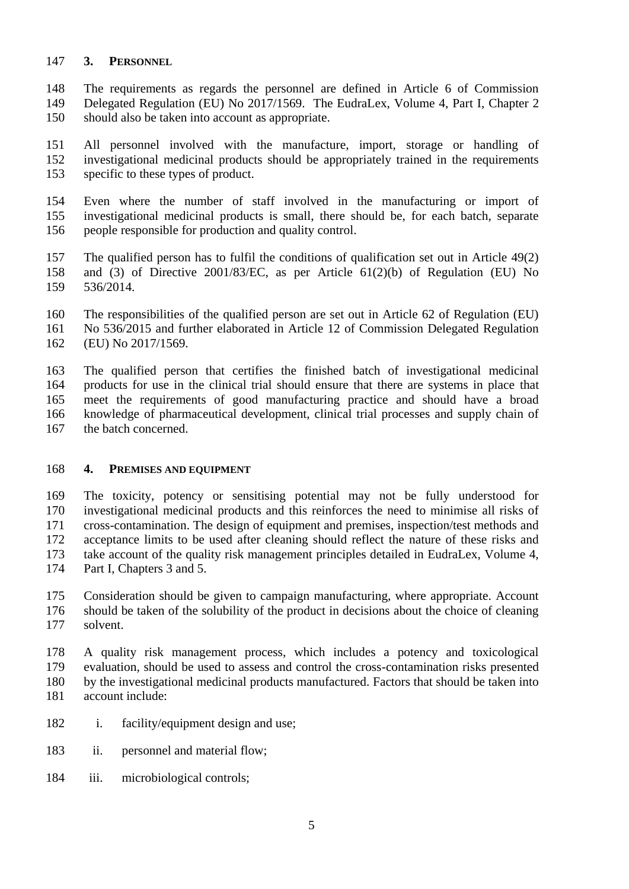### **3. PERSONNEL**

 The requirements as regards the personnel are defined in Article 6 of Commission Delegated Regulation (EU) No 2017/1569. The EudraLex, Volume 4, Part I, Chapter 2 should also be taken into account as appropriate.

 All personnel involved with the manufacture, import, storage or handling of investigational medicinal products should be appropriately trained in the requirements specific to these types of product.

 Even where the number of staff involved in the manufacturing or import of investigational medicinal products is small, there should be, for each batch, separate people responsible for production and quality control.

157 The qualified person has to fulfil the conditions of qualification set out in Article 49(2)<br>158 and (3) of Directive 2001/83/EC, as per Article 61(2)(b) of Regulation (EU) No and (3) of Directive 2001/83/EC, as per Article  $61(2)(b)$  of Regulation (EU) No 536/2014.

 The responsibilities of the qualified person are set out in Article 62 of Regulation (EU) No 536/2015 and further elaborated in Article 12 of Commission Delegated Regulation (EU) No 2017/1569.

 The qualified person that certifies the finished batch of investigational medicinal products for use in the clinical trial should ensure that there are systems in place that meet the requirements of good manufacturing practice and should have a broad knowledge of pharmaceutical development, clinical trial processes and supply chain of the batch concerned.

#### **4. PREMISES AND EQUIPMENT**

 The toxicity, potency or sensitising potential may not be fully understood for investigational medicinal products and this reinforces the need to minimise all risks of cross-contamination. The design of equipment and premises, inspection/test methods and acceptance limits to be used after cleaning should reflect the nature of these risks and take account of the quality risk management principles detailed in EudraLex, Volume 4, Part I, Chapters 3 and 5.

 Consideration should be given to campaign manufacturing, where appropriate. Account should be taken of the solubility of the product in decisions about the choice of cleaning solvent.

 A quality risk management process, which includes a potency and toxicological evaluation, should be used to assess and control the cross-contamination risks presented by the investigational medicinal products manufactured. Factors that should be taken into account include:

- i. facility/equipment design and use;
- ii. personnel and material flow;
- iii. microbiological controls;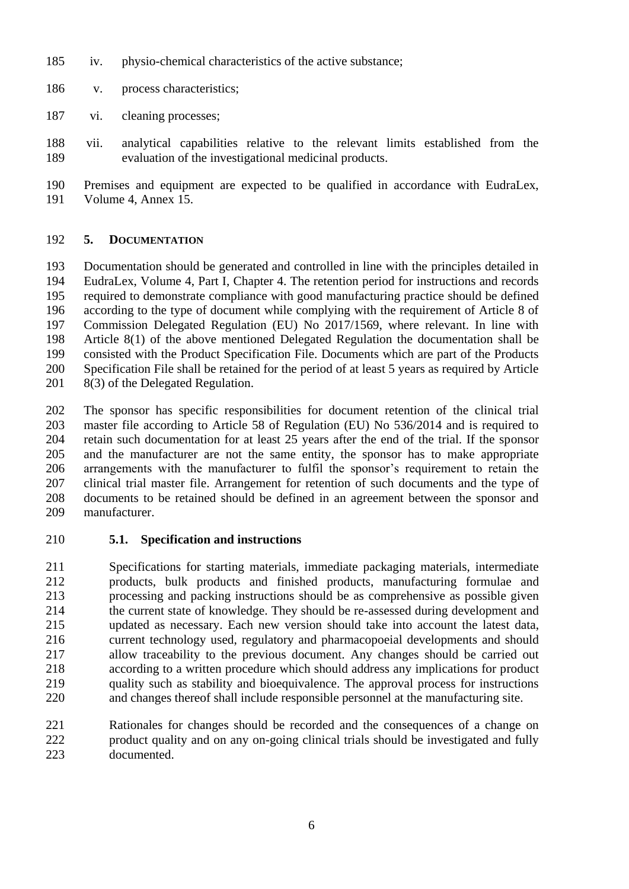- iv. physio-chemical characteristics of the active substance;
- v. process characteristics;
- vi. cleaning processes;
- vii. analytical capabilities relative to the relevant limits established from the evaluation of the investigational medicinal products.
- Premises and equipment are expected to be qualified in accordance with EudraLex, Volume 4, Annex 15.

## **5. DOCUMENTATION**

 Documentation should be generated and controlled in line with the principles detailed in EudraLex, Volume 4, Part I, Chapter 4. The retention period for instructions and records required to demonstrate compliance with good manufacturing practice should be defined according to the type of document while complying with the requirement of Article 8 of Commission Delegated Regulation (EU) No 2017/1569, where relevant. In line with Article 8(1) of the above mentioned Delegated Regulation the documentation shall be consisted with the Product Specification File. Documents which are part of the Products Specification File shall be retained for the period of at least 5 years as required by Article 201 8(3) of the Delegated Regulation.

 The sponsor has specific responsibilities for document retention of the clinical trial master file according to Article 58 of Regulation (EU) No 536/2014 and is required to retain such documentation for at least 25 years after the end of the trial. If the sponsor and the manufacturer are not the same entity, the sponsor has to make appropriate arrangements with the manufacturer to fulfil the sponsor's requirement to retain the clinical trial master file. Arrangement for retention of such documents and the type of documents to be retained should be defined in an agreement between the sponsor and manufacturer.

**5.1. Specification and instructions**

 Specifications for starting materials, immediate packaging materials, intermediate products, bulk products and finished products, manufacturing formulae and processing and packing instructions should be as comprehensive as possible given the current state of knowledge. They should be re-assessed during development and updated as necessary. Each new version should take into account the latest data, current technology used, regulatory and pharmacopoeial developments and should allow traceability to the previous document. Any changes should be carried out according to a written procedure which should address any implications for product quality such as stability and bioequivalence. The approval process for instructions and changes thereof shall include responsible personnel at the manufacturing site.

 Rationales for changes should be recorded and the consequences of a change on product quality and on any on-going clinical trials should be investigated and fully documented.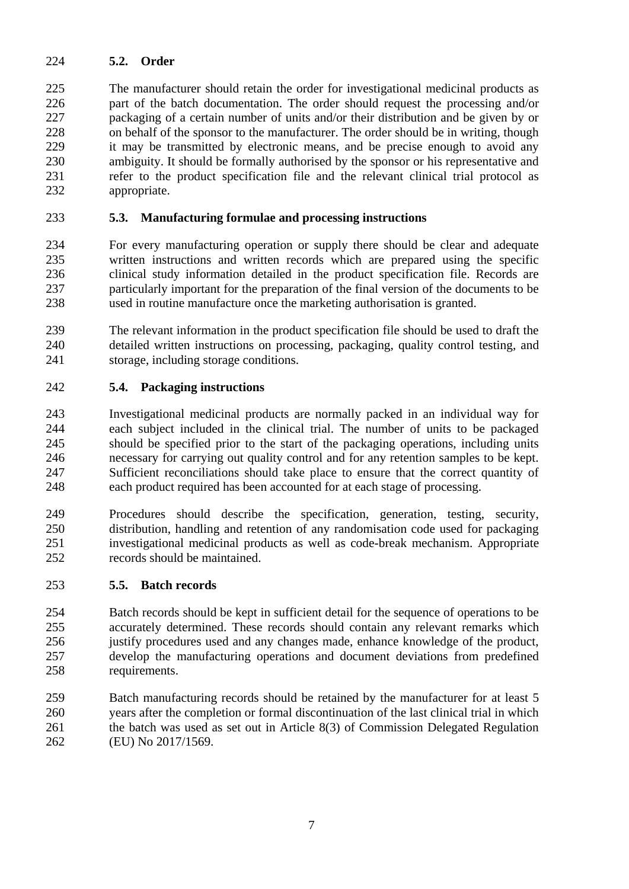## **5.2. Order**

 The manufacturer should retain the order for investigational medicinal products as part of the batch documentation. The order should request the processing and/or packaging of a certain number of units and/or their distribution and be given by or on behalf of the sponsor to the manufacturer. The order should be in writing, though it may be transmitted by electronic means, and be precise enough to avoid any ambiguity. It should be formally authorised by the sponsor or his representative and refer to the product specification file and the relevant clinical trial protocol as appropriate.

### **5.3. Manufacturing formulae and processing instructions**

 For every manufacturing operation or supply there should be clear and adequate written instructions and written records which are prepared using the specific clinical study information detailed in the product specification file. Records are particularly important for the preparation of the final version of the documents to be used in routine manufacture once the marketing authorisation is granted.

 The relevant information in the product specification file should be used to draft the detailed written instructions on processing, packaging, quality control testing, and storage, including storage conditions.

### **5.4. Packaging instructions**

 Investigational medicinal products are normally packed in an individual way for each subject included in the clinical trial. The number of units to be packaged should be specified prior to the start of the packaging operations, including units necessary for carrying out quality control and for any retention samples to be kept. Sufficient reconciliations should take place to ensure that the correct quantity of each product required has been accounted for at each stage of processing.

 Procedures should describe the specification, generation, testing, security, distribution, handling and retention of any randomisation code used for packaging investigational medicinal products as well as code-break mechanism. Appropriate records should be maintained.

### **5.5. Batch records**

 Batch records should be kept in sufficient detail for the sequence of operations to be accurately determined. These records should contain any relevant remarks which justify procedures used and any changes made, enhance knowledge of the product, develop the manufacturing operations and document deviations from predefined requirements.

 Batch manufacturing records should be retained by the manufacturer for at least 5 years after the completion or formal discontinuation of the last clinical trial in which the batch was used as set out in Article 8(3) of Commission Delegated Regulation (EU) No 2017/1569.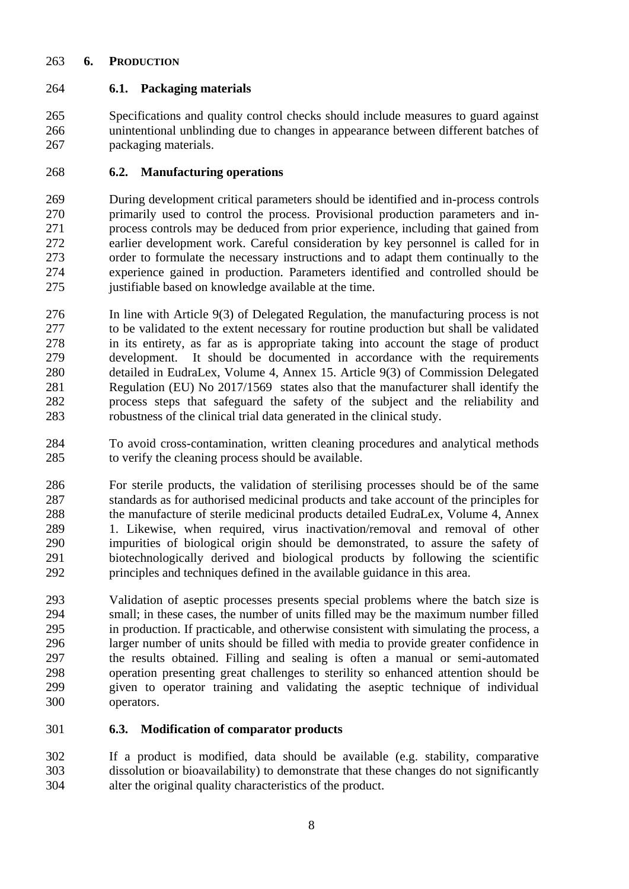### **6. PRODUCTION**

## **6.1. Packaging materials**

 Specifications and quality control checks should include measures to guard against unintentional unblinding due to changes in appearance between different batches of packaging materials.

## **6.2. Manufacturing operations**

 During development critical parameters should be identified and in-process controls primarily used to control the process. Provisional production parameters and in- process controls may be deduced from prior experience, including that gained from earlier development work. Careful consideration by key personnel is called for in order to formulate the necessary instructions and to adapt them continually to the experience gained in production. Parameters identified and controlled should be 275 iustifiable based on knowledge available at the time.

- In line with Article 9(3) of Delegated Regulation, the manufacturing process is not to be validated to the extent necessary for routine production but shall be validated in its entirety, as far as is appropriate taking into account the stage of product development. It should be documented in accordance with the requirements detailed in EudraLex, Volume 4, Annex 15. Article 9(3) of Commission Delegated Regulation (EU) No 2017/1569 states also that the manufacturer shall identify the process steps that safeguard the safety of the subject and the reliability and robustness of the clinical trial data generated in the clinical study.
- To avoid cross-contamination, written cleaning procedures and analytical methods to verify the cleaning process should be available.
- For sterile products, the validation of sterilising processes should be of the same standards as for authorised medicinal products and take account of the principles for 288 the manufacture of sterile medicinal products detailed EudraLex, Volume 4, Annex 1. Likewise, when required, virus inactivation/removal and removal of other impurities of biological origin should be demonstrated, to assure the safety of biotechnologically derived and biological products by following the scientific principles and techniques defined in the available guidance in this area.
- Validation of aseptic processes presents special problems where the batch size is small; in these cases, the number of units filled may be the maximum number filled in production. If practicable, and otherwise consistent with simulating the process, a larger number of units should be filled with media to provide greater confidence in the results obtained. Filling and sealing is often a manual or semi-automated operation presenting great challenges to sterility so enhanced attention should be given to operator training and validating the aseptic technique of individual operators.

## **6.3. Modification of comparator products**

 If a product is modified, data should be available (e.g. stability, comparative dissolution or bioavailability) to demonstrate that these changes do not significantly alter the original quality characteristics of the product.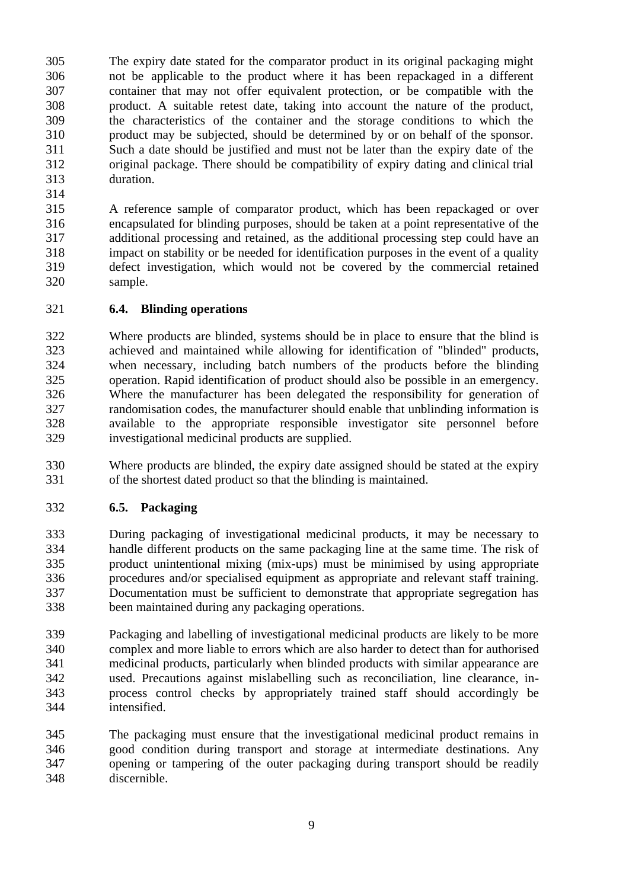The expiry date stated for the comparator product in its original packaging might not be applicable to the product where it has been repackaged in a different container that may not offer equivalent protection, or be compatible with the product. A suitable retest date, taking into account the nature of the product, the characteristics of the container and the storage conditions to which the product may be subjected, should be determined by or on behalf of the sponsor. Such a date should be justified and must not be later than the expiry date of the original package. There should be compatibility of expiry dating and clinical trial duration.

 A reference sample of comparator product, which has been repackaged or over encapsulated for blinding purposes, should be taken at a point representative of the additional processing and retained, as the additional processing step could have an impact on stability or be needed for identification purposes in the event of a quality defect investigation, which would not be covered by the commercial retained sample.

## **6.4. Blinding operations**

 Where products are blinded, systems should be in place to ensure that the blind is achieved and maintained while allowing for identification of "blinded" products, when necessary, including batch numbers of the products before the blinding operation. Rapid identification of product should also be possible in an emergency. Where the manufacturer has been delegated the responsibility for generation of randomisation codes, the manufacturer should enable that unblinding information is available to the appropriate responsible investigator site personnel before investigational medicinal products are supplied.

 Where products are blinded, the expiry date assigned should be stated at the expiry of the shortest dated product so that the blinding is maintained.

# **6.5. Packaging**

 During packaging of investigational medicinal products, it may be necessary to handle different products on the same packaging line at the same time. The risk of product unintentional mixing (mix-ups) must be minimised by using appropriate procedures and/or specialised equipment as appropriate and relevant staff training. Documentation must be sufficient to demonstrate that appropriate segregation has been maintained during any packaging operations.

 Packaging and labelling of investigational medicinal products are likely to be more complex and more liable to errors which are also harder to detect than for authorised medicinal products, particularly when blinded products with similar appearance are used. Precautions against mislabelling such as reconciliation, line clearance, in- process control checks by appropriately trained staff should accordingly be intensified.

 The packaging must ensure that the investigational medicinal product remains in good condition during transport and storage at intermediate destinations. Any opening or tampering of the outer packaging during transport should be readily discernible.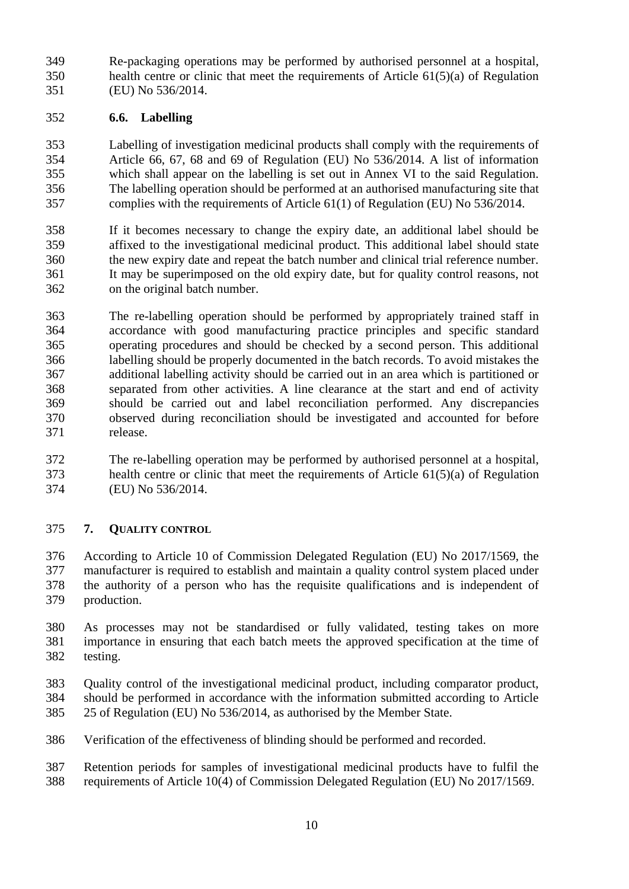Re-packaging operations may be performed by authorised personnel at a hospital, health centre or clinic that meet the requirements of Article 61(5)(a) of Regulation (EU) No 536/2014.

### **6.6. Labelling**

 Labelling of investigation medicinal products shall comply with the requirements of Article 66, 67, 68 and 69 of Regulation (EU) No 536/2014. A list of information which shall appear on the labelling is set out in Annex VI to the said Regulation. The labelling operation should be performed at an authorised manufacturing site that complies with the requirements of Article 61(1) of Regulation (EU) No 536/2014.

 If it becomes necessary to change the expiry date, an additional label should be affixed to the investigational medicinal product. This additional label should state the new expiry date and repeat the batch number and clinical trial reference number. It may be superimposed on the old expiry date, but for quality control reasons, not on the original batch number.

 The re-labelling operation should be performed by appropriately trained staff in accordance with good manufacturing practice principles and specific standard operating procedures and should be checked by a second person. This additional labelling should be properly documented in the batch records. To avoid mistakes the additional labelling activity should be carried out in an area which is partitioned or separated from other activities. A line clearance at the start and end of activity should be carried out and label reconciliation performed. Any discrepancies observed during reconciliation should be investigated and accounted for before release.

 The re-labelling operation may be performed by authorised personnel at a hospital, health centre or clinic that meet the requirements of Article 61(5)(a) of Regulation (EU) No 536/2014.

## **7. QUALITY CONTROL**

 According to Article 10 of Commission Delegated Regulation (EU) No 2017/1569, the manufacturer is required to establish and maintain a quality control system placed under the authority of a person who has the requisite qualifications and is independent of production.

 As processes may not be standardised or fully validated, testing takes on more importance in ensuring that each batch meets the approved specification at the time of testing.

Quality control of the investigational medicinal product, including comparator product,

- should be performed in accordance with the information submitted according to Article 25 of Regulation (EU) No 536/2014, as authorised by the Member State.
- Verification of the effectiveness of blinding should be performed and recorded.

 Retention periods for samples of investigational medicinal products have to fulfil the requirements of Article 10(4) of Commission Delegated Regulation (EU) No 2017/1569.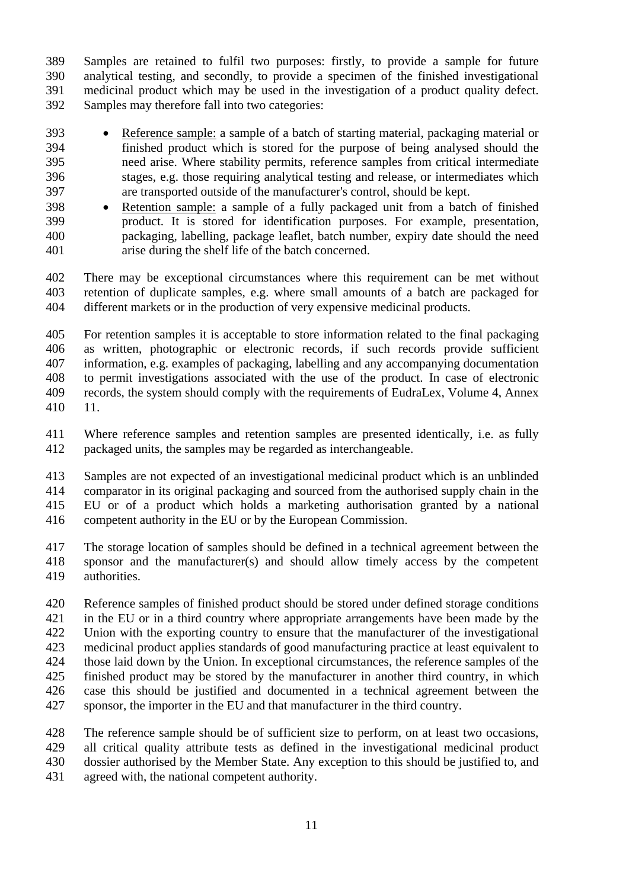Samples are retained to fulfil two purposes: firstly, to provide a sample for future analytical testing, and secondly, to provide a specimen of the finished investigational medicinal product which may be used in the investigation of a product quality defect. Samples may therefore fall into two categories:

- Reference sample: a sample of a batch of starting material, packaging material or finished product which is stored for the purpose of being analysed should the need arise. Where stability permits, reference samples from critical intermediate stages, e.g. those requiring analytical testing and release, or intermediates which are transported outside of the manufacturer's control, should be kept.
- Retention sample: a sample of a fully packaged unit from a batch of finished product. It is stored for identification purposes. For example, presentation, packaging, labelling, package leaflet, batch number, expiry date should the need arise during the shelf life of the batch concerned.

 There may be exceptional circumstances where this requirement can be met without retention of duplicate samples, e.g. where small amounts of a batch are packaged for different markets or in the production of very expensive medicinal products.

 For retention samples it is acceptable to store information related to the final packaging as written, photographic or electronic records, if such records provide sufficient information, e.g. examples of packaging, labelling and any accompanying documentation to permit investigations associated with the use of the product. In case of electronic records, the system should comply with the requirements of EudraLex, Volume 4, Annex 11.

- Where reference samples and retention samples are presented identically, i.e. as fully packaged units, the samples may be regarded as interchangeable.
- Samples are not expected of an investigational medicinal product which is an unblinded comparator in its original packaging and sourced from the authorised supply chain in the EU or of a product which holds a marketing authorisation granted by a national competent authority in the EU or by the European Commission.
- The storage location of samples should be defined in a technical agreement between the sponsor and the manufacturer(s) and should allow timely access by the competent authorities.
- Reference samples of finished product should be stored under defined storage conditions in the EU or in a third country where appropriate arrangements have been made by the Union with the exporting country to ensure that the manufacturer of the investigational medicinal product applies standards of good manufacturing practice at least equivalent to those laid down by the Union. In exceptional circumstances, the reference samples of the finished product may be stored by the manufacturer in another third country, in which case this should be justified and documented in a technical agreement between the sponsor, the importer in the EU and that manufacturer in the third country.
- The reference sample should be of sufficient size to perform, on at least two occasions, all critical quality attribute tests as defined in the investigational medicinal product dossier authorised by the Member State. Any exception to this should be justified to, and agreed with, the national competent authority.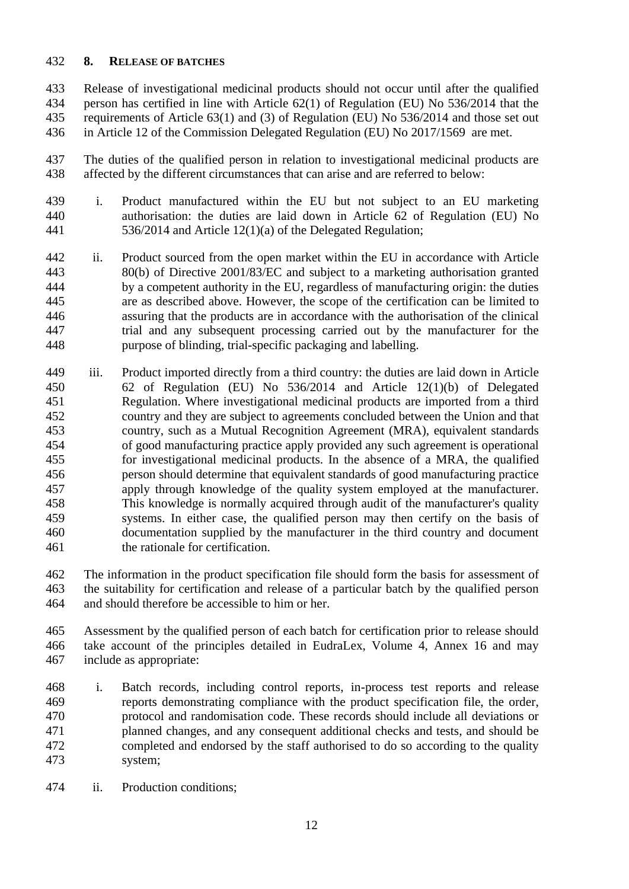### **8. RELEASE OF BATCHES**

 Release of investigational medicinal products should not occur until after the qualified person has certified in line with Article 62(1) of Regulation (EU) No 536/2014 that the requirements of Article 63(1) and (3) of Regulation (EU) No 536/2014 and those set out in Article 12 of the Commission Delegated Regulation (EU) No 2017/1569 are met.

 The duties of the qualified person in relation to investigational medicinal products are affected by the different circumstances that can arise and are referred to below:

- i. Product manufactured within the EU but not subject to an EU marketing authorisation: the duties are laid down in Article 62 of Regulation (EU) No 536/2014 and Article 12(1)(a) of the Delegated Regulation;
- ii. Product sourced from the open market within the EU in accordance with Article 80(b) of Directive 2001/83/EC and subject to a marketing authorisation granted by a competent authority in the EU, regardless of manufacturing origin: the duties are as described above. However, the scope of the certification can be limited to assuring that the products are in accordance with the authorisation of the clinical trial and any subsequent processing carried out by the manufacturer for the purpose of blinding, trial-specific packaging and labelling.
- iii. Product imported directly from a third country: the duties are laid down in Article 62 of Regulation (EU) No 536/2014 and Article 12(1)(b) of Delegated Regulation. Where investigational medicinal products are imported from a third country and they are subject to agreements concluded between the Union and that country, such as a Mutual Recognition Agreement (MRA), equivalent standards of good manufacturing practice apply provided any such agreement is operational for investigational medicinal products. In the absence of a MRA, the qualified person should determine that equivalent standards of good manufacturing practice apply through knowledge of the quality system employed at the manufacturer. This knowledge is normally acquired through audit of the manufacturer's quality systems. In either case, the qualified person may then certify on the basis of documentation supplied by the manufacturer in the third country and document the rationale for certification.
- The information in the product specification file should form the basis for assessment of the suitability for certification and release of a particular batch by the qualified person and should therefore be accessible to him or her.
- Assessment by the qualified person of each batch for certification prior to release should take account of the principles detailed in EudraLex, Volume 4, Annex 16 and may include as appropriate:
- i. Batch records, including control reports, in-process test reports and release reports demonstrating compliance with the product specification file, the order, protocol and randomisation code. These records should include all deviations or planned changes, and any consequent additional checks and tests, and should be completed and endorsed by the staff authorised to do so according to the quality system;
- ii. Production conditions;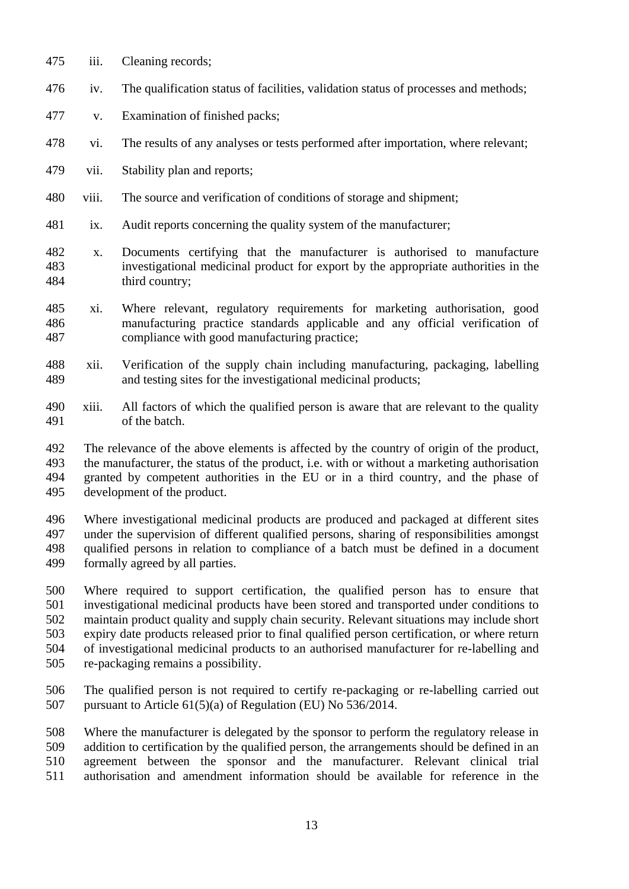iii. Cleaning records; iv. The qualification status of facilities, validation status of processes and methods; v. Examination of finished packs; vi. The results of any analyses or tests performed after importation, where relevant; vii. Stability plan and reports; viii. The source and verification of conditions of storage and shipment; ix. Audit reports concerning the quality system of the manufacturer; x. Documents certifying that the manufacturer is authorised to manufacture investigational medicinal product for export by the appropriate authorities in the third country; xi. Where relevant, regulatory requirements for marketing authorisation, good manufacturing practice standards applicable and any official verification of compliance with good manufacturing practice; xii. Verification of the supply chain including manufacturing, packaging, labelling and testing sites for the investigational medicinal products; xiii. All factors of which the qualified person is aware that are relevant to the quality of the batch.

 The relevance of the above elements is affected by the country of origin of the product, the manufacturer, the status of the product, i.e. with or without a marketing authorisation granted by competent authorities in the EU or in a third country, and the phase of development of the product.

 Where investigational medicinal products are produced and packaged at different sites under the supervision of different qualified persons, sharing of responsibilities amongst qualified persons in relation to compliance of a batch must be defined in a document formally agreed by all parties.

 Where required to support certification, the qualified person has to ensure that investigational medicinal products have been stored and transported under conditions to maintain product quality and supply chain security. Relevant situations may include short expiry date products released prior to final qualified person certification, or where return of investigational medicinal products to an authorised manufacturer for re-labelling and re-packaging remains a possibility.

 The qualified person is not required to certify re-packaging or re-labelling carried out pursuant to Article 61(5)(a) of Regulation (EU) No 536/2014.

 Where the manufacturer is delegated by the sponsor to perform the regulatory release in addition to certification by the qualified person, the arrangements should be defined in an agreement between the sponsor and the manufacturer. Relevant clinical trial authorisation and amendment information should be available for reference in the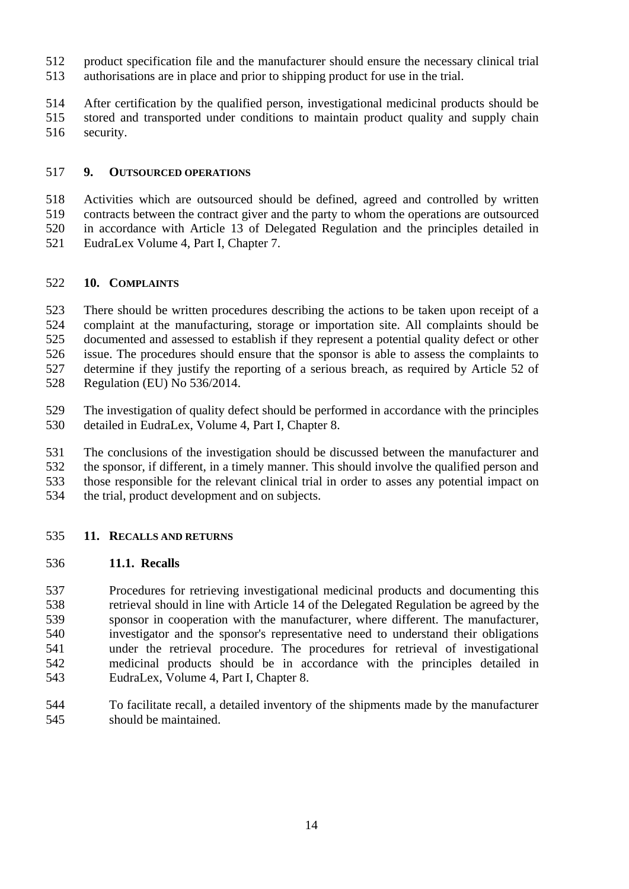- product specification file and the manufacturer should ensure the necessary clinical trial
- authorisations are in place and prior to shipping product for use in the trial.
- After certification by the qualified person, investigational medicinal products should be
- stored and transported under conditions to maintain product quality and supply chain
- security.

#### **9. OUTSOURCED OPERATIONS**

 Activities which are outsourced should be defined, agreed and controlled by written contracts between the contract giver and the party to whom the operations are outsourced in accordance with Article 13 of Delegated Regulation and the principles detailed in EudraLex Volume 4, Part I, Chapter 7.

### **10. COMPLAINTS**

 There should be written procedures describing the actions to be taken upon receipt of a complaint at the manufacturing, storage or importation site. All complaints should be documented and assessed to establish if they represent a potential quality defect or other issue. The procedures should ensure that the sponsor is able to assess the complaints to determine if they justify the reporting of a serious breach, as required by Article 52 of Regulation (EU) No 536/2014.

- The investigation of quality defect should be performed in accordance with the principles detailed in EudraLex, Volume 4, Part I, Chapter 8.
- The conclusions of the investigation should be discussed between the manufacturer and
- the sponsor, if different, in a timely manner. This should involve the qualified person and
- those responsible for the relevant clinical trial in order to asses any potential impact on
- the trial, product development and on subjects.
- **11. RECALLS AND RETURNS**

### **11.1. Recalls**

 Procedures for retrieving investigational medicinal products and documenting this retrieval should in line with Article 14 of the Delegated Regulation be agreed by the sponsor in cooperation with the manufacturer, where different. The manufacturer, investigator and the sponsor's representative need to understand their obligations under the retrieval procedure. The procedures for retrieval of investigational medicinal products should be in accordance with the principles detailed in EudraLex, Volume 4, Part I, Chapter 8.

 To facilitate recall, a detailed inventory of the shipments made by the manufacturer should be maintained.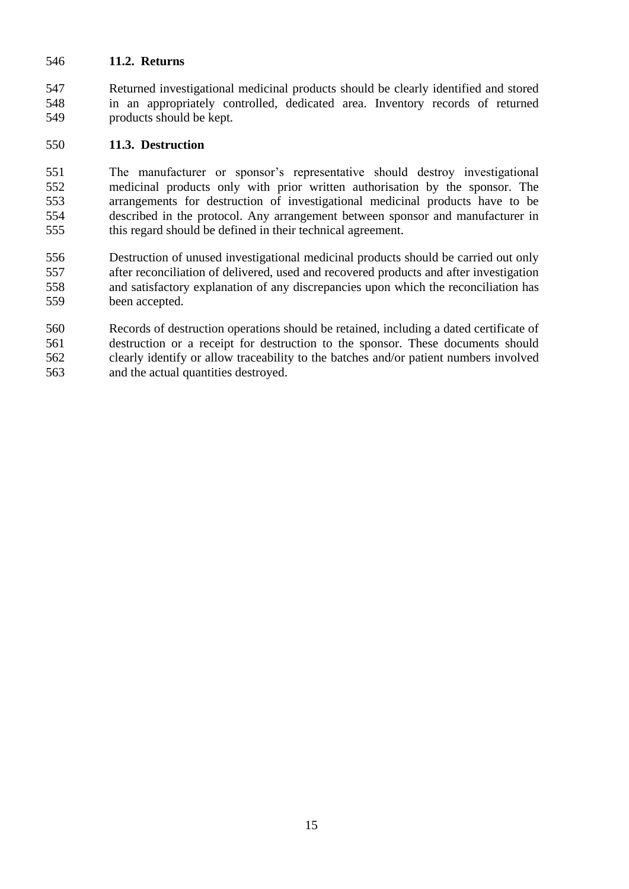### **11.2. Returns**

 Returned investigational medicinal products should be clearly identified and stored in an appropriately controlled, dedicated area. Inventory records of returned products should be kept.

### **11.3. Destruction**

 The manufacturer or sponsor's representative should destroy investigational medicinal products only with prior written authorisation by the sponsor. The arrangements for destruction of investigational medicinal products have to be described in the protocol. Any arrangement between sponsor and manufacturer in this regard should be defined in their technical agreement.

 Destruction of unused investigational medicinal products should be carried out only after reconciliation of delivered, used and recovered products and after investigation and satisfactory explanation of any discrepancies upon which the reconciliation has been accepted.

 Records of destruction operations should be retained, including a dated certificate of destruction or a receipt for destruction to the sponsor. These documents should clearly identify or allow traceability to the batches and/or patient numbers involved and the actual quantities destroyed.